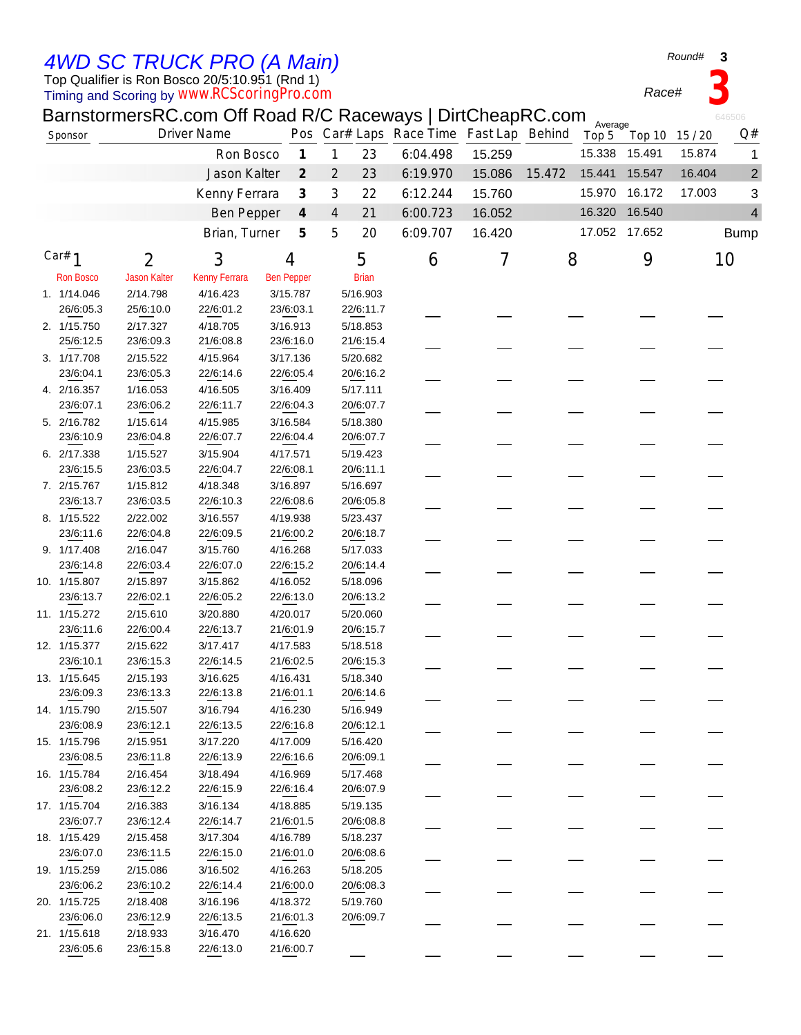Top Qualifier is Ron Bosco 20/5:10.951 (Rnd 1) *4WD SC TRUCK PRO (A Main)*

Timing and Scoring by *www.RCScoringPro.com*

## BarnstormersRC.com Off Road R/C Raceways | DirtCheapRC.com

|                  |                     | BarnstormersRC.com Off Road R/C Raceways   DirtCheapRC.com |                   |                                               |              |                                         |        |        | Average |               |                | 646506         |
|------------------|---------------------|------------------------------------------------------------|-------------------|-----------------------------------------------|--------------|-----------------------------------------|--------|--------|---------|---------------|----------------|----------------|
| Sponsor          |                     | <b>Driver Name</b>                                         |                   |                                               |              | Pos Car# Laps Race Time Fast Lap Behind |        |        | Top 5   |               | Top 10 15 / 20 | Q#             |
|                  |                     | Ron Bosco                                                  |                   | $\boldsymbol{\mathcal{I}}$<br>$\mathbf{1}$    | 23           | 6:04.498                                | 15.259 |        | 15.338  | 15.491        | 15.874         | 1              |
|                  |                     | Jason Kalter                                               |                   | $\mathcal{Z}_{\mathcal{C}}$<br>$\overline{2}$ | 23           | 6:19.970                                | 15.086 | 15.472 | 15.441  | 15.547        | 16.404         | $\overline{c}$ |
|                  |                     | Kenny Ferrara                                              |                   | $\mathcal{J}_{\mathcal{S}}$<br>3              | 22           | 6:12.244                                | 15.760 |        | 15.970  | 16.172        | 17.003         | 3              |
|                  |                     | <b>Ben Pepper</b>                                          |                   | $\boldsymbol{4}$<br>$\overline{4}$            | 21           | 6:00.723                                | 16.052 |        |         | 16.320 16.540 |                | 4              |
|                  |                     |                                                            |                   |                                               |              |                                         |        |        |         |               |                |                |
|                  |                     | Brian, Turner                                              |                   | 5<br>5                                        | 20           | 6:09.707                                | 16.420 |        |         | 17.052 17.652 |                | <b>Bump</b>    |
| Car# $1$         | 2                   | 3                                                          | 4                 |                                               | 5            | 6                                       | 7      | 8      |         | 9             |                | 10             |
| <b>Ron Bosco</b> | <b>Jason Kalter</b> | Kenny Ferrara                                              | <b>Ben Pepper</b> |                                               | <b>Brian</b> |                                         |        |        |         |               |                |                |
| 1. 1/14.046      | 2/14.798            | 4/16.423                                                   | 3/15.787          |                                               | 5/16.903     |                                         |        |        |         |               |                |                |
| 26/6:05.3        | 25/6:10.0           | 22/6:01.2                                                  | 23/6:03.1         |                                               | 22/6:11.7    |                                         |        |        |         |               |                |                |
| 2. 1/15.750      | 2/17.327            | 4/18.705                                                   | 3/16.913          |                                               | 5/18.853     |                                         |        |        |         |               |                |                |
| 25/6:12.5        | 23/6:09.3           | 21/6:08.8                                                  | 23/6:16.0         |                                               | 21/6:15.4    |                                         |        |        |         |               |                |                |
| 3. 1/17.708      | 2/15.522            | 4/15.964                                                   | 3/17.136          |                                               | 5/20.682     |                                         |        |        |         |               |                |                |
| 23/6:04.1        | 23/6:05.3           | 22/6:14.6                                                  | 22/6:05.4         |                                               | 20/6:16.2    |                                         |        |        |         |               |                |                |
| 4. 2/16.357      | 1/16.053            | 4/16.505                                                   | 3/16.409          |                                               | 5/17.111     |                                         |        |        |         |               |                |                |
| 23/6:07.1        | 23/6:06.2           | 22/6:11.7                                                  | 22/6:04.3         |                                               | 20/6:07.7    |                                         |        |        |         |               |                |                |
| 5. 2/16.782      | 1/15.614            | 4/15.985                                                   | 3/16.584          |                                               | 5/18.380     |                                         |        |        |         |               |                |                |
| 23/6:10.9        | 23/6:04.8           | 22/6:07.7                                                  | 22/6:04.4         |                                               | 20/6:07.7    |                                         |        |        |         |               |                |                |
| 6. 2/17.338      | 1/15.527            | 3/15.904                                                   | 4/17.571          |                                               | 5/19.423     |                                         |        |        |         |               |                |                |
| 23/6:15.5        | 23/6:03.5           | 22/6:04.7                                                  | 22/6:08.1         |                                               | 20/6:11.1    |                                         |        |        |         |               |                |                |
| 7. 2/15.767      | 1/15.812            | 4/18.348                                                   | 3/16.897          |                                               | 5/16.697     |                                         |        |        |         |               |                |                |
| 23/6:13.7        | 23/6:03.5           | 22/6:10.3                                                  | 22/6:08.6         |                                               | 20/6:05.8    |                                         |        |        |         |               |                |                |
| 8. 1/15.522      | 2/22.002            | 3/16.557                                                   | 4/19.938          |                                               | 5/23.437     |                                         |        |        |         |               |                |                |
| 23/6:11.6        | 22/6:04.8           | 22/6:09.5                                                  | 21/6:00.2         |                                               | 20/6:18.7    |                                         |        |        |         |               |                |                |
| 9. 1/17.408      | 2/16.047            | 3/15.760                                                   | 4/16.268          |                                               | 5/17.033     |                                         |        |        |         |               |                |                |
| 23/6:14.8        | 22/6:03.4           | 22/6:07.0                                                  | 22/6:15.2         |                                               | 20/6:14.4    |                                         |        |        |         |               |                |                |
| 10. 1/15.807     | 2/15.897            | 3/15.862                                                   | 4/16.052          |                                               | 5/18.096     |                                         |        |        |         |               |                |                |
| 23/6:13.7        | 22/6:02.1           | 22/6:05.2                                                  | 22/6:13.0         |                                               | 20/6:13.2    |                                         |        |        |         |               |                |                |
| 11. 1/15.272     | 2/15.610            | 3/20.880                                                   | 4/20.017          |                                               | 5/20.060     |                                         |        |        |         |               |                |                |
| 23/6:11.6        | 22/6:00.4           | 22/6:13.7                                                  | 21/6:01.9         |                                               | 20/6:15.7    |                                         |        |        |         |               |                |                |
| 12. 1/15.377     | 2/15.622            | 3/17.417                                                   | 4/17.583          |                                               | 5/18.518     |                                         |        |        |         |               |                |                |
| 23/6:10.1        | 23/6:15.3           | 22/6:14.5                                                  | 21/6:02.5         |                                               | 20/6:15.3    |                                         |        |        |         |               |                |                |
| 13. 1/15.645     | 2/15.193            | 3/16.625                                                   | 4/16.431          |                                               | 5/18.340     |                                         |        |        |         |               |                |                |
| 23/6:09.3        | 23/6:13.3           | 22/6:13.8                                                  | 21/6:01.1         |                                               | 20/6:14.6    |                                         |        |        |         |               |                |                |
| 14. 1/15.790     | 2/15.507            | 3/16.794                                                   | 4/16.230          |                                               | 5/16.949     |                                         |        |        |         |               |                |                |
| 23/6:08.9        | 23/6:12.1           | 22/6:13.5                                                  | 22/6:16.8         |                                               | 20/6:12.1    |                                         |        |        |         |               |                |                |
| 15. 1/15.796     | 2/15.951            | 3/17.220                                                   | 4/17.009          |                                               | 5/16.420     |                                         |        |        |         |               |                |                |
| 23/6:08.5        | 23/6:11.8           | 22/6:13.9                                                  | 22/6:16.6         |                                               | 20/6:09.1    |                                         |        |        |         |               |                |                |
| 16. 1/15.784     | 2/16.454            | 3/18.494                                                   | 4/16.969          |                                               | 5/17.468     |                                         |        |        |         |               |                |                |
| 23/6:08.2        | 23/6:12.2           | 22/6:15.9                                                  | 22/6:16.4         |                                               | 20/6:07.9    |                                         |        |        |         |               |                |                |
| 17. 1/15.704     | 2/16.383            | 3/16.134                                                   | 4/18.885          |                                               | 5/19.135     |                                         |        |        |         |               |                |                |
| 23/6:07.7        | 23/6:12.4           | 22/6:14.7                                                  | 21/6:01.5         |                                               | 20/6:08.8    |                                         |        |        |         |               |                |                |
| 18. 1/15.429     | 2/15.458            | 3/17.304                                                   | 4/16.789          |                                               | 5/18.237     |                                         |        |        |         |               |                |                |
| 23/6:07.0        | 23/6:11.5           | 22/6:15.0                                                  | 21/6:01.0         |                                               | 20/6:08.6    |                                         |        |        |         |               |                |                |
| 19. 1/15.259     | 2/15.086            | 3/16.502                                                   | 4/16.263          |                                               | 5/18.205     |                                         |        |        |         |               |                |                |
| 23/6:06.2        | 23/6:10.2           | 22/6:14.4                                                  | 21/6:00.0         |                                               | 20/6:08.3    |                                         |        |        |         |               |                |                |
| 20. 1/15.725     | 2/18.408            | 3/16.196                                                   | 4/18.372          |                                               | 5/19.760     |                                         |        |        |         |               |                |                |
| 23/6:06.0        | 23/6:12.9           | 22/6:13.5                                                  | 21/6:01.3         |                                               | 20/6:09.7    |                                         |        |        |         |               |                |                |
| 21. 1/15.618     | 2/18.933            | 3/16.470                                                   | 4/16.620          |                                               |              |                                         |        |        |         |               |                |                |
| 23/6:05.6        | 23/6:15.8           | 22/6:13.0                                                  | 21/6:00.7         |                                               |              |                                         |        |        |         |               |                |                |

*Race#* **3**